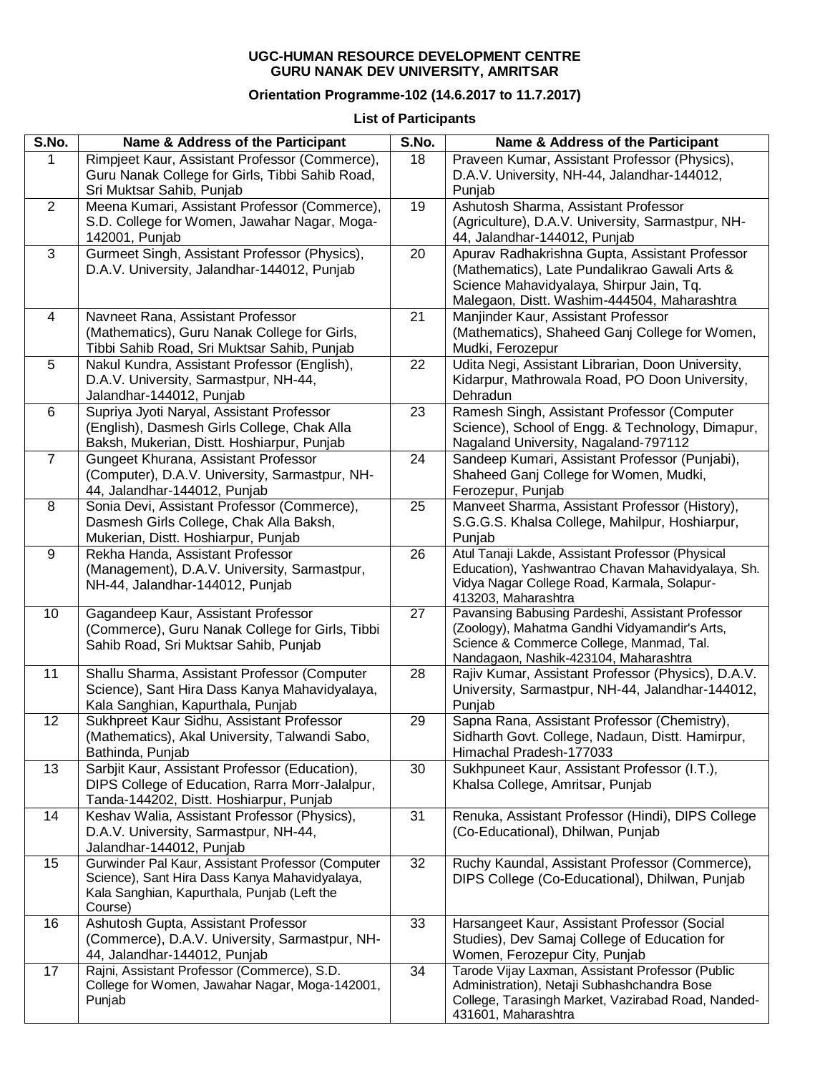## **UGC-HUMAN RESOURCE DEVELOPMENT CENTRE GURU NANAK DEV UNIVERSITY, AMRITSAR**

## **Orientation Programme-102 (14.6.2017 to 11.7.2017)**

## **List of Participants**

| S.No.          | Name & Address of the Participant                                                                                                                            | S.No. | Name & Address of the Participant                                                                                                                                                          |
|----------------|--------------------------------------------------------------------------------------------------------------------------------------------------------------|-------|--------------------------------------------------------------------------------------------------------------------------------------------------------------------------------------------|
| 1              | Rimpjeet Kaur, Assistant Professor (Commerce),<br>Guru Nanak College for Girls, Tibbi Sahib Road,<br>Sri Muktsar Sahib, Punjab                               | 18    | Praveen Kumar, Assistant Professor (Physics),<br>D.A.V. University, NH-44, Jalandhar-144012,<br>Punjab                                                                                     |
| 2              | Meena Kumari, Assistant Professor (Commerce),<br>S.D. College for Women, Jawahar Nagar, Moga-<br>142001, Punjab                                              | 19    | Ashutosh Sharma, Assistant Professor<br>(Agriculture), D.A.V. University, Sarmastpur, NH-<br>44, Jalandhar-144012, Punjab                                                                  |
| 3              | Gurmeet Singh, Assistant Professor (Physics),<br>D.A.V. University, Jalandhar-144012, Punjab                                                                 | 20    | Apurav Radhakrishna Gupta, Assistant Professor<br>(Mathematics), Late Pundalikrao Gawali Arts &<br>Science Mahavidyalaya, Shirpur Jain, Tq.<br>Malegaon, Distt. Washim-444504, Maharashtra |
| $\overline{4}$ | Navneet Rana, Assistant Professor<br>(Mathematics), Guru Nanak College for Girls,<br>Tibbi Sahib Road, Sri Muktsar Sahib, Punjab                             | 21    | Manjinder Kaur, Assistant Professor<br>(Mathematics), Shaheed Ganj College for Women,<br>Mudki, Ferozepur                                                                                  |
| 5              | Nakul Kundra, Assistant Professor (English),<br>D.A.V. University, Sarmastpur, NH-44,<br>Jalandhar-144012, Punjab                                            | 22    | Udita Negi, Assistant Librarian, Doon University,<br>Kidarpur, Mathrowala Road, PO Doon University,<br>Dehradun                                                                            |
| 6              | Supriya Jyoti Naryal, Assistant Professor<br>(English), Dasmesh Girls College, Chak Alla<br>Baksh, Mukerian, Distt. Hoshiarpur, Punjab                       | 23    | Ramesh Singh, Assistant Professor (Computer<br>Science), School of Engg. & Technology, Dimapur,<br>Nagaland University, Nagaland-797112                                                    |
| $\overline{7}$ | Gungeet Khurana, Assistant Professor<br>(Computer), D.A.V. University, Sarmastpur, NH-<br>44, Jalandhar-144012, Punjab                                       | 24    | Sandeep Kumari, Assistant Professor (Punjabi),<br>Shaheed Ganj College for Women, Mudki,<br>Ferozepur, Punjab                                                                              |
| 8              | Sonia Devi, Assistant Professor (Commerce),<br>Dasmesh Girls College, Chak Alla Baksh,<br>Mukerian, Distt. Hoshiarpur, Punjab                                | 25    | Manveet Sharma, Assistant Professor (History),<br>S.G.G.S. Khalsa College, Mahilpur, Hoshiarpur,<br>Punjab                                                                                 |
| 9              | Rekha Handa, Assistant Professor<br>(Management), D.A.V. University, Sarmastpur,<br>NH-44, Jalandhar-144012, Punjab                                          | 26    | Atul Tanaji Lakde, Assistant Professor (Physical<br>Education), Yashwantrao Chavan Mahavidyalaya, Sh.<br>Vidya Nagar College Road, Karmala, Solapur-<br>413203, Maharashtra                |
| 10             | Gagandeep Kaur, Assistant Professor<br>(Commerce), Guru Nanak College for Girls, Tibbi<br>Sahib Road, Sri Muktsar Sahib, Punjab                              | 27    | Pavansing Babusing Pardeshi, Assistant Professor<br>(Zoology), Mahatma Gandhi Vidyamandir's Arts,<br>Science & Commerce College, Manmad, Tal.<br>Nandagaon, Nashik-423104, Maharashtra     |
| 11             | Shallu Sharma, Assistant Professor (Computer<br>Science), Sant Hira Dass Kanya Mahavidyalaya,<br>Kala Sanghian, Kapurthala, Punjab                           | 28    | Rajiv Kumar, Assistant Professor (Physics), D.A.V.<br>University, Sarmastpur, NH-44, Jalandhar-144012,<br>Punjab                                                                           |
| 12             | Sukhpreet Kaur Sidhu, Assistant Professor<br>(Mathematics), Akal University, Talwandi Sabo,<br>Bathinda, Punjab                                              | 29    | Sapna Rana, Assistant Professor (Chemistry),<br>Sidharth Govt. College, Nadaun, Distt. Hamirpur,<br>Himachal Pradesh-177033                                                                |
| 13             | Sarbjit Kaur, Assistant Professor (Education),<br>DIPS College of Education, Rarra Morr-Jalalpur,<br>Tanda-144202, Distt. Hoshiarpur, Punjab                 | 30    | Sukhpuneet Kaur, Assistant Professor (I.T.),<br>Khalsa College, Amritsar, Punjab                                                                                                           |
| 14             | Keshav Walia, Assistant Professor (Physics),<br>D.A.V. University, Sarmastpur, NH-44,<br>Jalandhar-144012, Punjab                                            | 31    | Renuka, Assistant Professor (Hindi), DIPS College<br>(Co-Educational), Dhilwan, Punjab                                                                                                     |
| 15             | Gurwinder Pal Kaur, Assistant Professor (Computer<br>Science), Sant Hira Dass Kanya Mahavidyalaya,<br>Kala Sanghian, Kapurthala, Punjab (Left the<br>Course) | 32    | Ruchy Kaundal, Assistant Professor (Commerce),<br>DIPS College (Co-Educational), Dhilwan, Punjab                                                                                           |
| 16             | Ashutosh Gupta, Assistant Professor<br>(Commerce), D.A.V. University, Sarmastpur, NH-<br>44, Jalandhar-144012, Punjab                                        | 33    | Harsangeet Kaur, Assistant Professor (Social<br>Studies), Dev Samaj College of Education for<br>Women, Ferozepur City, Punjab                                                              |
| 17             | Rajni, Assistant Professor (Commerce), S.D.<br>College for Women, Jawahar Nagar, Moga-142001,<br>Punjab                                                      | 34    | Tarode Vijay Laxman, Assistant Professor (Public<br>Administration), Netaji Subhashchandra Bose<br>College, Tarasingh Market, Vazirabad Road, Nanded-<br>431601, Maharashtra               |